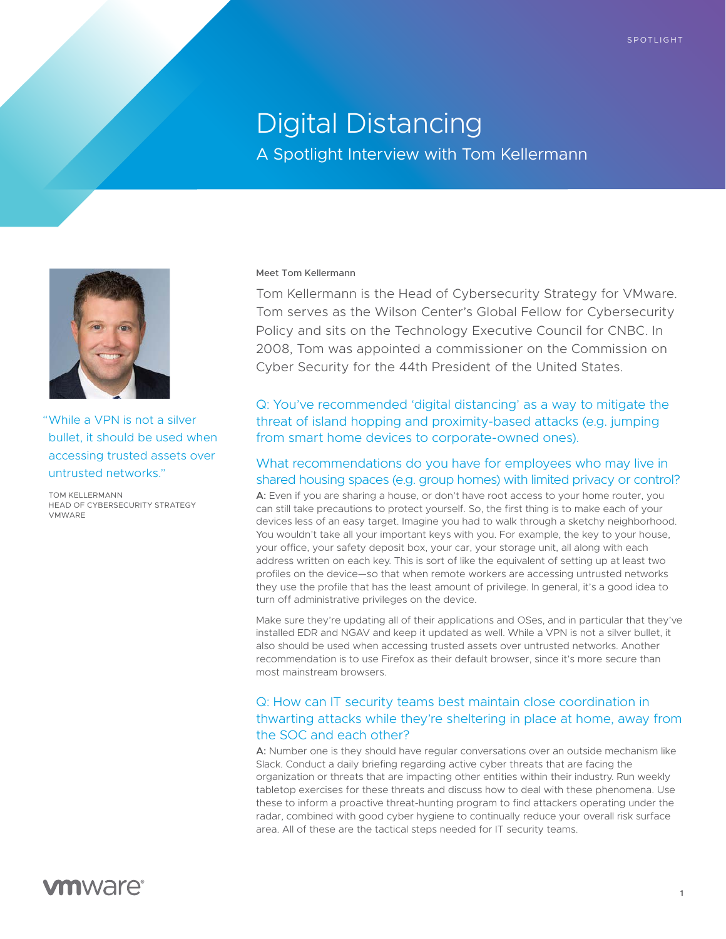# Digital Distancing

A Spotlight Interview with Tom Kellermann



"While a VPN is not a silver bullet, it should be used when accessing trusted assets over untrusted networks."

TOM KELLERMANN HEAD OF CYBERSECURITY STRATEGY VMWARE

#### Meet Tom Kellermann

Tom Kellermann is the Head of Cybersecurity Strategy for VMware. Tom serves as the Wilson Center's Global Fellow for Cybersecurity Policy and sits on the Technology Executive Council for CNBC. In 2008, Tom was appointed a commissioner on the Commission on Cyber Security for the 44th President of the United States.

Q: You've recommended 'digital distancing' as a way to mitigate the threat of island hopping and proximity-based attacks (e.g. jumping from smart home devices to corporate-owned ones).

### What recommendations do you have for employees who may live in shared housing spaces (e.g. group homes) with limited privacy or control?

A: Even if you are sharing a house, or don't have root access to your home router, you can still take precautions to protect yourself. So, the first thing is to make each of your devices less of an easy target. Imagine you had to walk through a sketchy neighborhood. You wouldn't take all your important keys with you. For example, the key to your house, your office, your safety deposit box, your car, your storage unit, all along with each address written on each key. This is sort of like the equivalent of setting up at least two profiles on the device—so that when remote workers are accessing untrusted networks they use the profile that has the least amount of privilege. In general, it's a good idea to turn off administrative privileges on the device.

Make sure they're updating all of their applications and OSes, and in particular that they've installed EDR and NGAV and keep it updated as well. While a VPN is not a silver bullet, it also should be used when accessing trusted assets over untrusted networks. Another recommendation is to use Firefox as their default browser, since it's more secure than most mainstream browsers.

### Q: How can IT security teams best maintain close coordination in thwarting attacks while they're sheltering in place at home, away from the SOC and each other?

A: Number one is they should have regular conversations over an outside mechanism like Slack. Conduct a daily briefing regarding active cyber threats that are facing the organization or threats that are impacting other entities within their industry. Run weekly tabletop exercises for these threats and discuss how to deal with these phenomena. Use these to inform a proactive threat-hunting program to find attackers operating under the radar, combined with good cyber hygiene to continually reduce your overall risk surface area. All of these are the tactical steps needed for IT security teams.